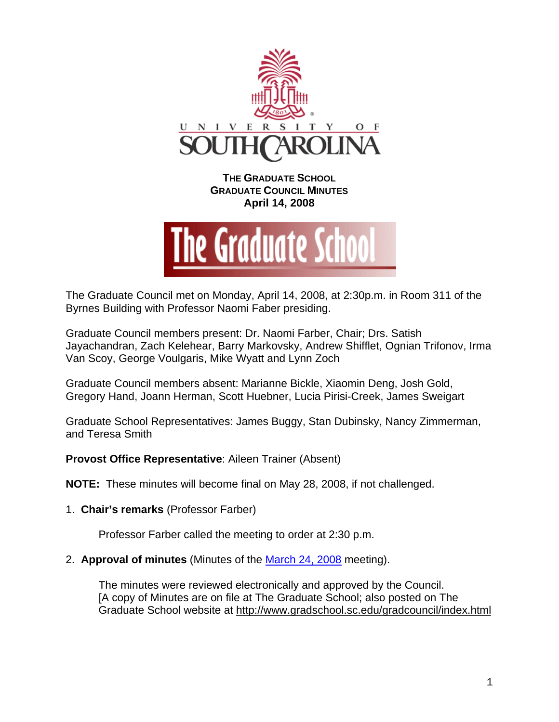

**THE GRADUATE SCHOOL GRADUATE COUNCIL MINUTES April 14, 2008** 



The Graduate Council met on Monday, April 14, 2008, at 2:30p.m. in Room 311 of the Byrnes Building with Professor Naomi Faber presiding.

Graduate Council members present: Dr. Naomi Farber, Chair; Drs. Satish Jayachandran, Zach Kelehear, Barry Markovsky, Andrew Shifflet, Ognian Trifonov, Irma Van Scoy, George Voulgaris, Mike Wyatt and Lynn Zoch

Graduate Council members absent: Marianne Bickle, Xiaomin Deng, Josh Gold, Gregory Hand, Joann Herman, Scott Huebner, Lucia Pirisi-Creek, James Sweigart

Graduate School Representatives: James Buggy, Stan Dubinsky, Nancy Zimmerman, and Teresa Smith

**Provost Office Representative**: Aileen Trainer (Absent)

**NOTE:** These minutes will become final on May 28, 2008, if not challenged.

1. **Chair's remarks** (Professor Farber)

Professor Farber called the meeting to order at 2:30 p.m.

2. **Approval of minutes** (Minutes of the March 24, 2008 meeting).

The minutes were reviewed electronically and approved by the Council. [A copy of Minutes are on file at The Graduate School; also posted on The Graduate School website at <http://www.gradschool.sc.edu/gradcouncil/index.html>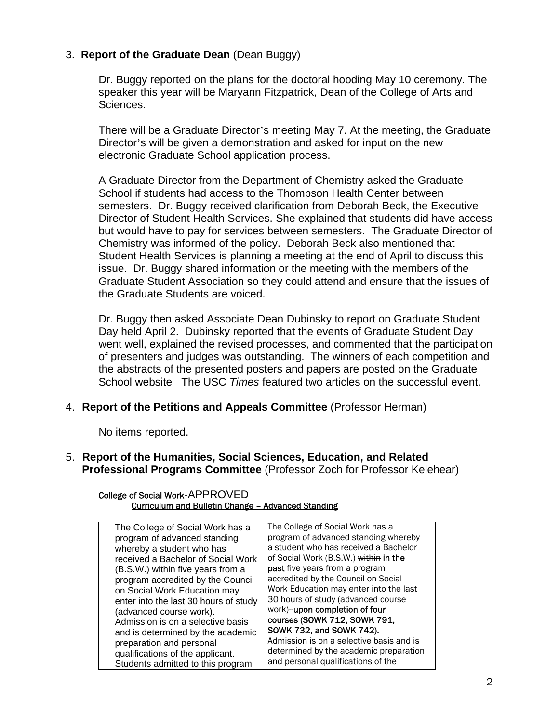# 3. **Report of the Graduate Dean** (Dean Buggy)

Dr. Buggy reported on the plans for the doctoral hooding May 10 ceremony. The speaker this year will be Maryann Fitzpatrick, Dean of the College of Arts and Sciences.

There will be a Graduate Director's meeting May 7. At the meeting, the Graduate Director's will be given a demonstration and asked for input on the new electronic Graduate School application process.

A Graduate Director from the Department of Chemistry asked the Graduate School if students had access to the Thompson Health Center between semesters. Dr. Buggy received clarification from Deborah Beck, the Executive Director of Student Health Services. She explained that students did have access but would have to pay for services between semesters. The Graduate Director of Chemistry was informed of the policy. Deborah Beck also mentioned that Student Health Services is planning a meeting at the end of April to discuss this issue. Dr. Buggy shared information or the meeting with the members of the Graduate Student Association so they could attend and ensure that the issues of the Graduate Students are voiced.

Dr. Buggy then asked Associate Dean Dubinsky to report on Graduate Student Day held April 2. Dubinsky reported that the events of Graduate Student Day went well, explained the revised processes, and commented that the participation of presenters and judges was outstanding. The winners of each competition and the abstracts of the presented posters and papers are posted on the Graduate School website The USC *Times* featured two articles on the successful event.

4. **Report of the Petitions and Appeals Committee** (Professor Herman)

No items reported.

5. **Report of the Humanities, Social Sciences, Education, and Related Professional Programs Committee** (Professor Zoch for Professor Kelehear)

College of Social Work-APPROVED Curriculum and Bulletin Change – Advanced Standing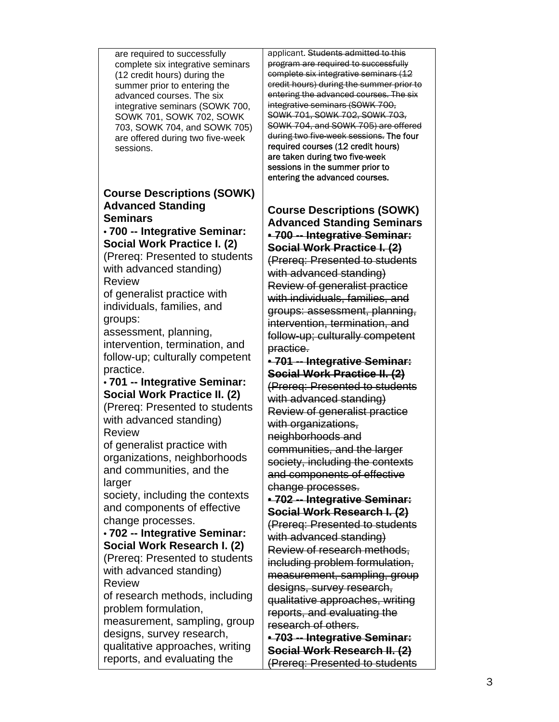| are required to successfully      |
|-----------------------------------|
| complete six integrative seminars |
| (12 credit hours) during the      |
| summer prior to entering the      |
| advanced courses. The six         |
| integrative seminars (SOWK 700,   |
| SOWK 701, SOWK 702, SOWK          |
| 703, SOWK 704, and SOWK 705)      |
| are offered during two five-week  |
| sessions.                         |
|                                   |

## **Course Descriptions (SOWK) Advanced Standing Seminars**

## • **700 -- Integrative Seminar: Social Work Practice I. (2)**

(Prereq: Presented to students with advanced standing) Review

of generalist practice with individuals, families, and groups:

assessment, planning, intervention, termination, and follow-up; culturally competent practice.

• **701 -- Integrative Seminar: Social Work Practice II. (2)**  (Prereq: Presented to students with advanced standing) Review

of generalist practice with organizations, neighborhoods and communities, and the larger

society, including the contexts and components of effective change processes.

• **702 -- Integrative Seminar: Social Work Research I. (2)**  (Prereq: Presented to students with advanced standing) Review

of research methods, including problem formulation,

measurement, sampling, group designs, survey research, qualitative approaches, writing reports, and evaluating the

applicant. Students admitted to this program are required to successfully complete six integrative seminars (12 credit hours) during the summer prior to entering the advanced courses. The six integrative seminars (SOWK 700, SOWK 701, SOWK 702, SOWK 703, SOWK 704, and SOWK 705) are offered during two five-week sessions. The four required courses (12 credit hours) are taken during two five-week sessions in the summer prior to entering the advanced courses.

**Course Descriptions (SOWK) Advanced Standing Seminars**  • **700 -- Integrative Seminar: Social Work Practice I. (2)** (Prereq: Presented to students with advanced standing) Review of generalist practice with individuals, families, and groups: assessment, planning, intervention, termination, and follow-up; culturally competent practice.

• **701 -- Integrative Seminar: Social Work Practice II. (2)** (Prereq: Presented to students with advanced standing) Review of generalist practice with organizations, neighborhoods and communities, and the larger society, including the contexts and components of effective change processes.

• **702 -- Integrative Seminar: Social Work Research I. (2)** (Prereq: Presented to students with advanced standing) Review of research methods, including problem formulation, measurement, sampling, group designs, survey research, qualitative approaches, writing reports, and evaluating the research of others.

• **703 -- Integrative Seminar: Social Work Research II. (2)** (Prereq: Presented to students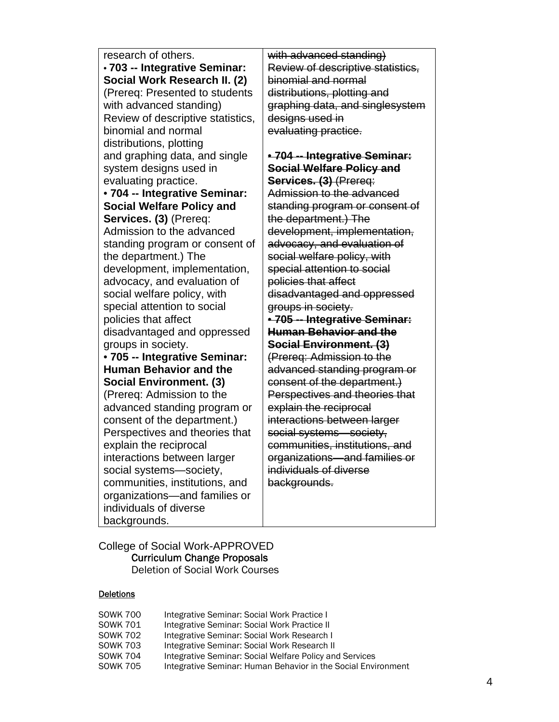research of others. • **703 -- Integrative Seminar: Social Work Research II. (2)**  (Prereq: Presented to students with advanced standing) Review of descriptive statistics, binomial and normal distributions, plotting and graphing data, and single system designs used in evaluating practice. • **704 -- Integrative Seminar: Social Welfare Policy and Services. (3)** (Prereq: Admission to the advanced standing program or consent of the department.) The development, implementation, advocacy, and evaluation of social welfare policy, with special attention to social policies that affect disadvantaged and oppressed groups in society. • **705 -- Integrative Seminar: Human Behavior and the Social Environment. (3)**  (Prereq: Admission to the advanced standing program or consent of the department.) Perspectives and theories that explain the reciprocal interactions between larger social systems—society, communities, institutions, and organizations—and families or individuals of diverse backgrounds.

with advanced standing) Review of descriptive statistics, binomial and normal distributions, plotting and graphing data, and singlesystem designs used in evaluating practice.

## • **704 -- Integrative Seminar: Social Welfare Policy and Services. (3)** (Prereq: Admission to the advanced standing program or consent of the department.) The development, implementation, advocacy, and evaluation of social welfare policy, with special attention to social policies that affect disadvantaged and oppressed groups in society. • **705 -- Integrative Seminar: Human Behavior and the Social Environment. (3)** (Prereq: Admission to the advanced standing program or

consent of the department.) Perspectives and theories that explain the reciprocal interactions between larger social systems—society, communities, institutions, and organizations—and families or individuals of diverse backgrounds.

### College of Social Work-APPROVED Curriculum Change Proposals Deletion of Social Work Courses

## **Deletions**

| <b>SOWK 700</b> | Integrative Seminar: Social Work Practice I                   |
|-----------------|---------------------------------------------------------------|
| <b>SOWK 701</b> | Integrative Seminar: Social Work Practice II                  |
| <b>SOWK 702</b> | Integrative Seminar: Social Work Research I                   |
| <b>SOWK 703</b> | Integrative Seminar: Social Work Research II                  |
| <b>SOWK 704</b> | Integrative Seminar: Social Welfare Policy and Services       |
| <b>SOWK 705</b> | Integrative Seminar: Human Behavior in the Social Environment |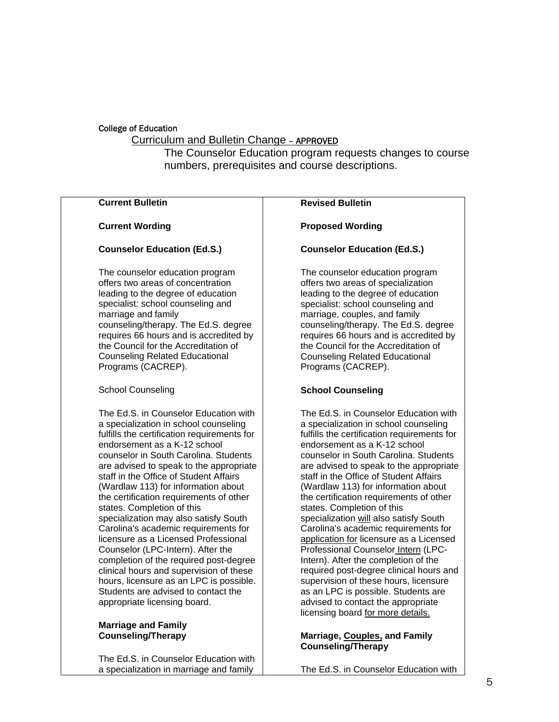### College of Education

## Curriculum and Bulletin Change – APPROVED

The Counselor Education program requests changes to course numbers, prerequisites and course descriptions.

#### **Current Bulletin Current Wording Counselor Education (Ed.S.)**  The counselor education program offers two areas of concentration leading to the degree of education specialist: school counseling and marriage and family counseling/therapy. The Ed.S. degree requires 66 hours and is accredited by the Council for the Accreditation of Counseling Related Educational Programs (CACREP). School Counseling The Ed.S. in Counselor Education with a specialization in school counseling fulfills the certification requirements for endorsement as a K-12 school counselor in South Carolina. Students are advised to speak to the appropriate staff in the Office of Student Affairs (Wardlaw 113) for information about the certification requirements of other states. Completion of this specialization may also satisfy South Carolina's academic requirements for licensure as a Licensed Professional Counselor (LPC-Intern). After the completion of the required post-degree clinical hours and supervision of these hours, licensure as an LPC is possible. Students are advised to contact the appropriate licensing board. **Marriage and Family Revised Bulletin Proposed Wording Counselor Education (Ed.S.)**  The counselor education program offers two areas of specialization leading to the degree of education specialist: school counseling and marriage, couples, and family counseling/therapy. The Ed.S. degree requires 66 hours and is accredited by the Council for the Accreditation of Counseling Related Educational Programs (CACREP). **School Counseling** The Ed.S. in Counselor Education with a specialization in school counseling fulfills the certification requirements for endorsement as a K-12 school counselor in South Carolina. Students are advised to speak to the appropriate staff in the Office of Student Affairs (Wardlaw 113) for information about the certification requirements of other states. Completion of this specialization will also satisfy South Carolina's academic requirements for application for licensure as a Licensed Professional Counselor Intern (LPC-Intern). After the completion of the required post-degree clinical hours and supervision of these hours, licensure as an LPC is possible. Students are advised to contact the appropriate licensing board for more details.

### **Marriage, Couples, and Family Counseling/Therapy**

The Ed.S. in Counselor Education with

**Counseling/Therapy**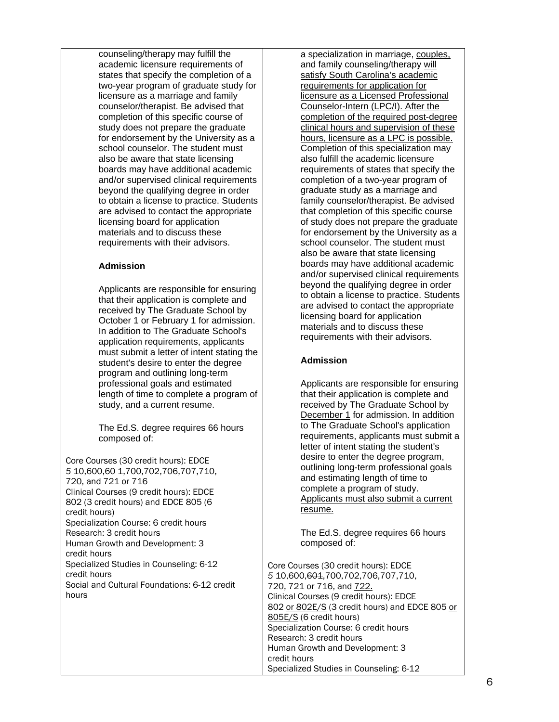counseling/therapy may fulfill the academic licensure requirements of states that specify the completion of a two-year program of graduate study for licensure as a marriage and family counselor/therapist. Be advised that completion of this specific course of study does not prepare the graduate for endorsement by the University as a school counselor. The student must also be aware that state licensing boards may have additional academic and/or supervised clinical requirements beyond the qualifying degree in order to obtain a license to practice. Students are advised to contact the appropriate licensing board for application materials and to discuss these requirements with their advisors.

### **Admission**

Applicants are responsible for ensuring that their application is complete and received by The Graduate School by October 1 or February 1 for admission. In addition to The Graduate School's application requirements, applicants must submit a letter of intent stating the student's desire to enter the degree program and outlining long-term professional goals and estimated length of time to complete a program of study, and a current resume.

The Ed.S. degree requires 66 hours composed of:

Core Courses (30 credit hours): EDCE *5* 10,600,60 1,700,702,706,707,710, 720, and 721 or 716 Clinical Courses (9 credit hours): EDCE 802 (3 credit hours) and EDCE 805 (6 credit hours) Specialization Course: 6 credit hours Research: 3 credit hours Human Growth and Development: 3 credit hours Specialized Studies in Counseling: 6-12 credit hours Social and Cultural Foundations: 6-12 credit hours

a specialization in marriage, couples, and family counseling/therapy will satisfy South Carolina's academic requirements for application for licensure as a Licensed Professional Counselor-Intern (LPC/I). After the completion of the required post-degree clinical hours and supervision of these hours, licensure as a LPC is possible. Completion of this specialization may also fulfill the academic licensure requirements of states that specify the completion of a two-year program of graduate study as a marriage and family counselor/therapist. Be advised that completion of this specific course of study does not prepare the graduate for endorsement by the University as a school counselor. The student must also be aware that state licensing boards may have additional academic and/or supervised clinical requirements beyond the qualifying degree in order to obtain a license to practice. Students are advised to contact the appropriate licensing board for application materials and to discuss these requirements with their advisors.

### **Admission**

Applicants are responsible for ensuring that their application is complete and received by The Graduate School by December 1 for admission. In addition to The Graduate School's application requirements, applicants must submit a letter of intent stating the student's desire to enter the degree program, outlining long-term professional goals and estimating length of time to complete a program of study. Applicants must also submit a current resume.

The Ed.S. degree requires 66 hours composed of:

Core Courses (30 credit hours): EDCE *5* 10,600,601,700,702,706,707,710, 720, 721 or 716, and 722. Clinical Courses (9 credit hours): EDCE 802 or 802E/S (3 credit hours) and EDCE 805 or 805E/S (6 credit hours) Specialization Course: 6 credit hours Research: 3 credit hours Human Growth and Development: 3 credit hours Specialized Studies in Counseling: 6-12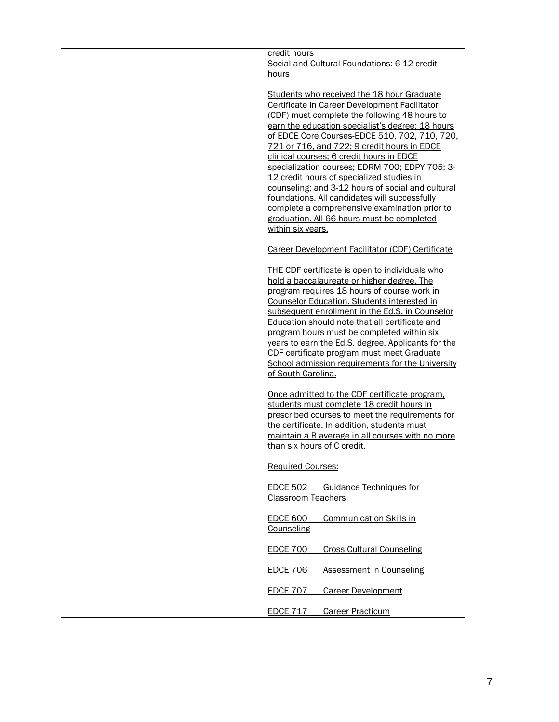| credit hours<br>Social and Cultural Foundations: 6-12 credit<br>hours                                                                                                                                                                                                                                                                                                                                                                                                                                                                                                                                                                                                 |
|-----------------------------------------------------------------------------------------------------------------------------------------------------------------------------------------------------------------------------------------------------------------------------------------------------------------------------------------------------------------------------------------------------------------------------------------------------------------------------------------------------------------------------------------------------------------------------------------------------------------------------------------------------------------------|
| Students who received the 18 hour Graduate<br>Certificate in Career Development Facilitator<br>(CDF) must complete the following 48 hours to<br>earn the education specialist's degree: 18 hours<br>of EDCE Core Courses-EDCE 510, 702, 710, 720,<br>721 or 716, and 722; 9 credit hours in EDCE<br>clinical courses; 6 credit hours in EDCE<br>specialization courses; EDRM 700; EDPY 705; 3-<br>12 credit hours of specialized studies in<br>counseling; and 3-12 hours of social and cultural<br>foundations. All candidates will successfully<br>complete a comprehensive examination prior to<br>graduation. All 66 hours must be completed<br>within six years. |
| Career Development Facilitator (CDF) Certificate                                                                                                                                                                                                                                                                                                                                                                                                                                                                                                                                                                                                                      |
| THE CDF certificate is open to individuals who<br>hold a baccalaureate or higher degree. The<br>program requires 18 hours of course work in<br><b>Counselor Education. Students interested in</b><br>subsequent enrollment in the Ed.S. in Counselor<br>Education should note that all certificate and<br>program hours must be completed within six<br>years to earn the Ed.S. degree. Applicants for the<br>CDF certificate program must meet Graduate<br>School admission requirements for the University<br>of South Carolina.                                                                                                                                    |
| Once admitted to the CDF certificate program.<br>students must complete 18 credit hours in<br>prescribed courses to meet the requirements for<br>the certificate. In addition, students must<br>maintain a B average in all courses with no more<br>than six hours of C credit.                                                                                                                                                                                                                                                                                                                                                                                       |
| <b>Required Courses:</b>                                                                                                                                                                                                                                                                                                                                                                                                                                                                                                                                                                                                                                              |
| <b>EDCE 502</b><br><b>Guidance Techniques for</b><br><b>Classroom Teachers</b>                                                                                                                                                                                                                                                                                                                                                                                                                                                                                                                                                                                        |
| <b>EDCE 600</b><br><b>Communication Skills in</b><br>Counseling                                                                                                                                                                                                                                                                                                                                                                                                                                                                                                                                                                                                       |
| <b>EDCE 700</b><br><b>Cross Cultural Counseling</b>                                                                                                                                                                                                                                                                                                                                                                                                                                                                                                                                                                                                                   |
| <b>EDCE 706</b><br><b>Assessment in Counseling</b>                                                                                                                                                                                                                                                                                                                                                                                                                                                                                                                                                                                                                    |
| <b>EDCE 707</b><br><b>Career Development</b>                                                                                                                                                                                                                                                                                                                                                                                                                                                                                                                                                                                                                          |
| <b>EDCE 717</b><br><b>Career Practicum</b>                                                                                                                                                                                                                                                                                                                                                                                                                                                                                                                                                                                                                            |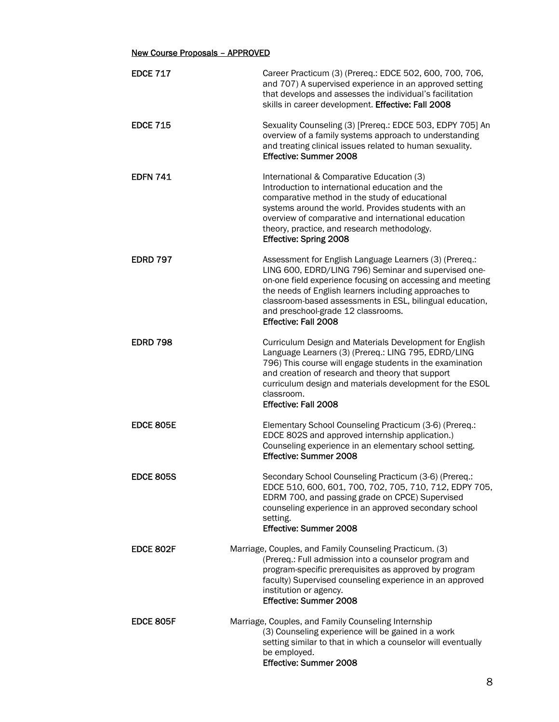# New Course Proposals – APPROVED

| <b>EDCE 717</b>  | Career Practicum (3) (Prereq.: EDCE 502, 600, 700, 706,<br>and 707) A supervised experience in an approved setting<br>that develops and assesses the individual's facilitation<br>skills in career development. Effective: Fall 2008                                                                                                                                  |
|------------------|-----------------------------------------------------------------------------------------------------------------------------------------------------------------------------------------------------------------------------------------------------------------------------------------------------------------------------------------------------------------------|
| <b>EDCE 715</b>  | Sexuality Counseling (3) [Prereq.: EDCE 503, EDPY 705] An<br>overview of a family systems approach to understanding<br>and treating clinical issues related to human sexuality.<br><b>Effective: Summer 2008</b>                                                                                                                                                      |
| <b>EDFN 741</b>  | International & Comparative Education (3)<br>Introduction to international education and the<br>comparative method in the study of educational<br>systems around the world. Provides students with an<br>overview of comparative and international education<br>theory, practice, and research methodology.<br><b>Effective: Spring 2008</b>                          |
| <b>EDRD 797</b>  | Assessment for English Language Learners (3) (Prereq.:<br>LING 600, EDRD/LING 796) Seminar and supervised one-<br>on-one field experience focusing on accessing and meeting<br>the needs of English learners including approaches to<br>classroom-based assessments in ESL, bilingual education,<br>and preschool-grade 12 classrooms.<br><b>Effective: Fall 2008</b> |
| <b>EDRD 798</b>  | Curriculum Design and Materials Development for English<br>Language Learners (3) (Prereq.: LING 795, EDRD/LING<br>796) This course will engage students in the examination<br>and creation of research and theory that support<br>curriculum design and materials development for the ESOL<br>classroom.<br><b>Effective: Fall 2008</b>                               |
| <b>EDCE 805E</b> | Elementary School Counseling Practicum (3-6) (Prereq.:<br>EDCE 802S and approved internship application.)<br>Counseling experience in an elementary school setting.<br><b>Effective: Summer 2008</b>                                                                                                                                                                  |
| <b>EDCE 805S</b> | Secondary School Counseling Practicum (3-6) (Prereq.:<br>EDCE 510, 600, 601, 700, 702, 705, 710, 712, EDPY 705,<br>EDRM 700, and passing grade on CPCE) Supervised<br>counseling experience in an approved secondary school<br>setting.<br><b>Effective: Summer 2008</b>                                                                                              |
| EDCE 802F        | Marriage, Couples, and Family Counseling Practicum. (3)<br>(Prereq.: Full admission into a counselor program and<br>program-specific prerequisites as approved by program<br>faculty) Supervised counseling experience in an approved<br>institution or agency.<br>Effective: Summer 2008                                                                             |
| EDCE 805F        | Marriage, Couples, and Family Counseling Internship<br>(3) Counseling experience will be gained in a work<br>setting similar to that in which a counselor will eventually<br>be employed.<br>Effective: Summer 2008                                                                                                                                                   |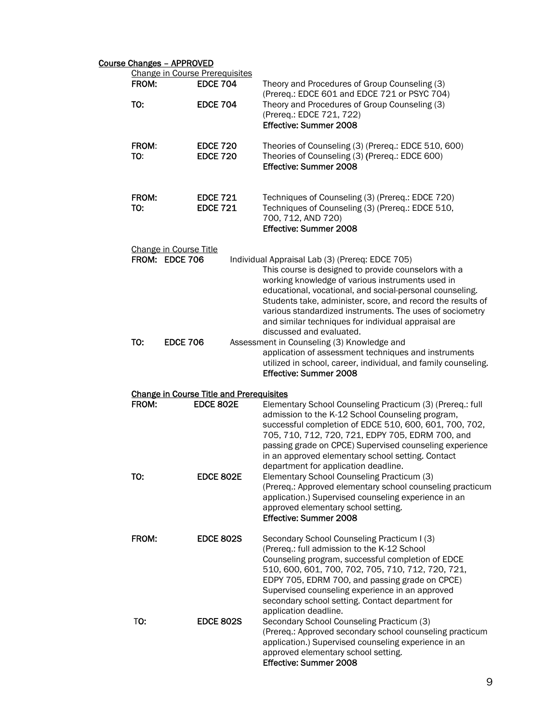# Course Changes – APPROVED

| $11911500 - 11110100$<br><b>Change in Course Prerequisites</b> |                                                 |                                                                                                                                                                                                                                                                                                                                                                                                                                       |
|----------------------------------------------------------------|-------------------------------------------------|---------------------------------------------------------------------------------------------------------------------------------------------------------------------------------------------------------------------------------------------------------------------------------------------------------------------------------------------------------------------------------------------------------------------------------------|
| FROM:                                                          | <b>EDCE 704</b>                                 | Theory and Procedures of Group Counseling (3)<br>(Prereq.: EDCE 601 and EDCE 721 or PSYC 704)                                                                                                                                                                                                                                                                                                                                         |
| TO:                                                            | <b>EDCE 704</b>                                 | Theory and Procedures of Group Counseling (3)<br>(Prereq.: EDCE 721, 722)<br><b>Effective: Summer 2008</b>                                                                                                                                                                                                                                                                                                                            |
| FROM:<br>TO:                                                   | <b>EDCE 720</b><br><b>EDCE 720</b>              | Theories of Counseling (3) (Prereq.: EDCE 510, 600)<br>Theories of Counseling (3) (Prereq.: EDCE 600)<br><b>Effective: Summer 2008</b>                                                                                                                                                                                                                                                                                                |
| FROM:<br>TO:                                                   | <b>EDCE 721</b><br><b>EDCE 721</b>              | Techniques of Counseling (3) (Prereq.: EDCE 720)<br>Techniques of Counseling (3) (Prereq.: EDCE 510,<br>700, 712, AND 720)<br>Effective: Summer 2008                                                                                                                                                                                                                                                                                  |
| Change in Course Title<br>FROM: EDCE 706                       |                                                 | Individual Appraisal Lab (3) (Prereq: EDCE 705)<br>This course is designed to provide counselors with a<br>working knowledge of various instruments used in<br>educational, vocational, and social-personal counseling.<br>Students take, administer, score, and record the results of<br>various standardized instruments. The uses of sociometry<br>and similar techniques for individual appraisal are<br>discussed and evaluated. |
| TO:<br><b>EDCE 706</b>                                         |                                                 | Assessment in Counseling (3) Knowledge and<br>application of assessment techniques and instruments<br>utilized in school, career, individual, and family counseling.<br>Effective: Summer 2008                                                                                                                                                                                                                                        |
|                                                                | <b>Change in Course Title and Prerequisites</b> |                                                                                                                                                                                                                                                                                                                                                                                                                                       |
| FROM:                                                          | <b>EDCE 802E</b>                                | Elementary School Counseling Practicum (3) (Prereq.: full<br>admission to the K-12 School Counseling program,<br>successful completion of EDCE 510, 600, 601, 700, 702,<br>705, 710, 712, 720, 721, EDPY 705, EDRM 700, and<br>passing grade on CPCE) Supervised counseling experience<br>in an approved elementary school setting. Contact<br>department for application deadline.                                                   |
| TO:                                                            | <b>EDCE 802E</b>                                | Elementary School Counseling Practicum (3)<br>(Prereq.: Approved elementary school counseling practicum<br>application.) Supervised counseling experience in an<br>approved elementary school setting.<br>Effective: Summer 2008                                                                                                                                                                                                      |
| FROM:                                                          | <b>EDCE 802S</b>                                | Secondary School Counseling Practicum I (3)<br>(Prereq.: full admission to the K-12 School<br>Counseling program, successful completion of EDCE<br>510, 600, 601, 700, 702, 705, 710, 712, 720, 721,<br>EDPY 705, EDRM 700, and passing grade on CPCE)<br>Supervised counseling experience in an approved<br>secondary school setting. Contact department for<br>application deadline.                                                |
| TO:                                                            | <b>EDCE 802S</b>                                | Secondary School Counseling Practicum (3)<br>(Prereq.: Approved secondary school counseling practicum<br>application.) Supervised counseling experience in an<br>approved elementary school setting.<br>Effective: Summer 2008                                                                                                                                                                                                        |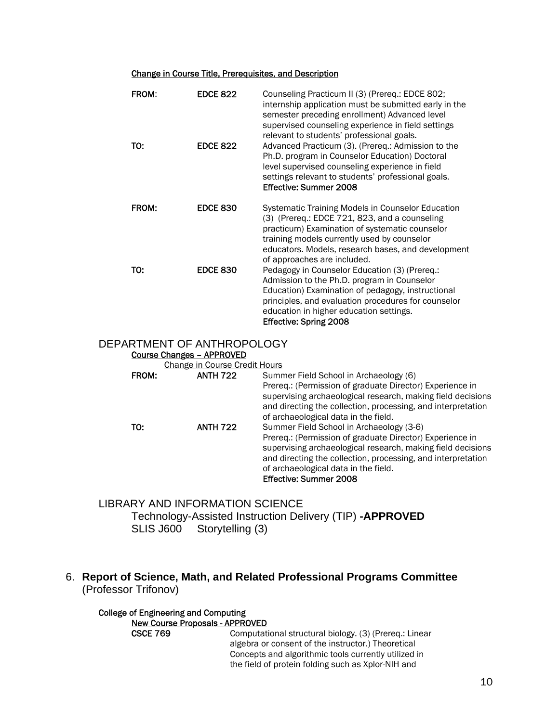### Change in Course Title, Prerequisites, and Description

| <b>FROM:</b> | <b>EDCE 822</b> | Counseling Practicum II (3) (Prereq.: EDCE 802;<br>internship application must be submitted early in the<br>semester preceding enrollment) Advanced level<br>supervised counseling experience in field settings<br>relevant to students' professional goals.                             |
|--------------|-----------------|------------------------------------------------------------------------------------------------------------------------------------------------------------------------------------------------------------------------------------------------------------------------------------------|
| TO:          | <b>EDCE 822</b> | Advanced Practicum (3). (Prereq.: Admission to the<br>Ph.D. program in Counselor Education) Doctoral<br>level supervised counseling experience in field<br>settings relevant to students' professional goals.<br>Effective: Summer 2008                                                  |
| FROM:        | <b>EDCE 830</b> | Systematic Training Models in Counselor Education<br>(3) (Prereq.: EDCE 721, 823, and a counseling<br>practicum) Examination of systematic counselor<br>training models currently used by counselor<br>educators. Models, research bases, and development<br>of approaches are included. |
| TO:          | <b>EDCE 830</b> | Pedagogy in Counselor Education (3) (Prereq.:<br>Admission to the Ph.D. program in Counselor<br>Education) Examination of pedagogy, instructional<br>principles, and evaluation procedures for counselor<br>education in higher education settings.<br><b>Effective: Spring 2008</b>     |

### DEPARTMENT OF ANTHROPOLOGY

### Course Changes – APPROVED

Change in Course Credit Hours

| FROM: | <b>ANTH 722</b> | Summer Field School in Archaeology (6)                       |
|-------|-----------------|--------------------------------------------------------------|
|       |                 | Prereg.: (Permission of graduate Director) Experience in     |
|       |                 | supervising archaeological research, making field decisions  |
|       |                 | and directing the collection, processing, and interpretation |
|       |                 | of archaeological data in the field.                         |
| Т0:   | <b>ANTH 722</b> | Summer Field School in Archaeology (3-6)                     |
|       |                 | Prereg.: (Permission of graduate Director) Experience in     |
|       |                 | supervising archaeological research, making field decisions  |
|       |                 | and directing the collection, processing, and interpretation |
|       |                 | of archaeological data in the field.                         |
|       |                 | Effective: Summer 2008                                       |

# LIBRARY AND INFORMATION SCIENCE Technology-Assisted Instruction Delivery (TIP) **-APPROVED** SLIS J600 Storytelling (3)

# 6. **Report of Science, Math, and Related Professional Programs Committee**  (Professor Trifonov)

#### College of Engineering and Computing New Course Proposals - APPROVED

CSCE 769 Computational structural biology. (3) (Prereq.: Linear algebra or consent of the instructor.) Theoretical Concepts and algorithmic tools currently utilized in the field of protein folding such as Xplor-NIH and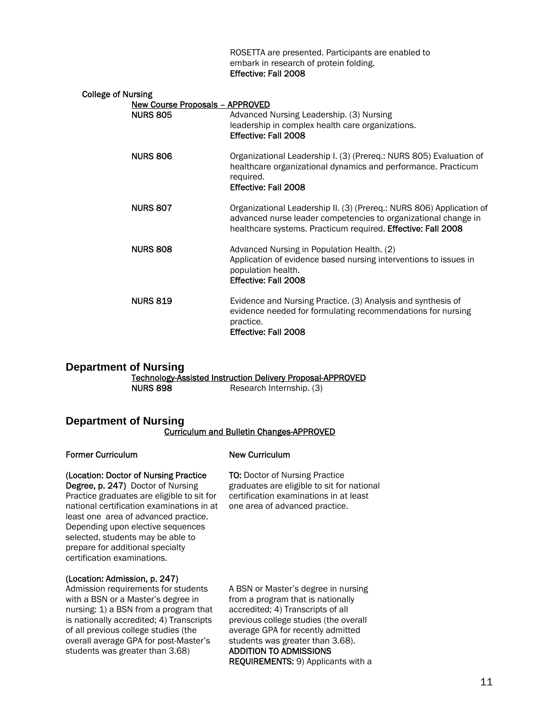ROSETTA are presented. Participants are enabled to embark in research of protein folding. Effective: Fall 2008

| <b>College of Nursing</b><br><b>New Course Proposals - APPROVED</b> |                                                                                                                                                                                                        |
|---------------------------------------------------------------------|--------------------------------------------------------------------------------------------------------------------------------------------------------------------------------------------------------|
| <b>NURS 805</b>                                                     | Advanced Nursing Leadership. (3) Nursing<br>leadership in complex health care organizations.<br>Effective: Fall 2008                                                                                   |
| <b>NURS 806</b>                                                     | Organizational Leadership I. (3) (Prereq.: NURS 805) Evaluation of<br>healthcare organizational dynamics and performance. Practicum<br>required.<br>Effective: Fall 2008                               |
| <b>NURS 807</b>                                                     | Organizational Leadership II. (3) (Prereq.: NURS 806) Application of<br>advanced nurse leader competencies to organizational change in<br>healthcare systems. Practicum required. Effective: Fall 2008 |
| <b>NURS 808</b>                                                     | Advanced Nursing in Population Health. (2)<br>Application of evidence based nursing interventions to issues in<br>population health.<br>Effective: Fall 2008                                           |
| <b>NURS 819</b>                                                     | Evidence and Nursing Practice. (3) Analysis and synthesis of<br>evidence needed for formulating recommendations for nursing<br>practice.<br>Effective: Fall 2008                                       |

### **Department of Nursing**  Technology-Assisted Instruction Delivery Proposal-APPROVED NURS 898 Research Internship. (3)

### **Department of Nursing**  Curriculum and Bulletin Changes-APPROVED

### Former Curriculum

### New Curriculum

### (Location: Doctor of Nursing Practice

Degree, p. 247) Doctor of Nursing Practice graduates are eligible to sit for national certification examinations in at least one area of advanced practice. Depending upon elective sequences selected, students may be able to prepare for additional specialty certification examinations.

TO: Doctor of Nursing Practice graduates are eligible to sit for national certification examinations in at least one area of advanced practice.

### (Location: Admission, p. 247)

Admission requirements for students with a BSN or a Master's degree in nursing: 1) a BSN from a program that is nationally accredited; 4) Transcripts of all previous college studies (the overall average GPA for post-Master's students was greater than 3.68)

A BSN or Master's degree in nursing from a program that is nationally accredited; 4) Transcripts of all previous college studies (the overall average GPA for recently admitted students was greater than 3.68). ADDITION TO ADMISSIONS REQUIREMENTS: 9) Applicants with a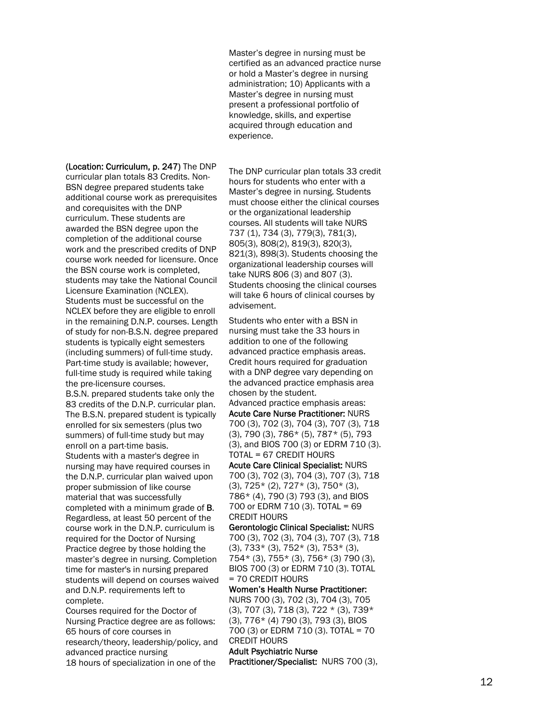Master's degree in nursing must be certified as an advanced practice nurse or hold a Master's degree in nursing administration; 10) Applicants with a Master's degree in nursing must present a professional portfolio of knowledge, skills, and expertise acquired through education and experience.

(Location: Curriculum, p. 247) The DNP

curricular plan totals 83 Credits. Non-BSN degree prepared students take additional course work as prerequisites and corequisites with the DNP curriculum. These students are awarded the BSN degree upon the completion of the additional course work and the prescribed credits of DNP course work needed for licensure. Once the BSN course work is completed, students may take the National Council Licensure Examination (NCLEX). Students must be successful on the NCLEX before they are eligible to enroll in the remaining D.N.P. courses. Length of study for non-B.S.N. degree prepared students is typically eight semesters (including summers) of full-time study. Part-time study is available; however, full-time study is required while taking the pre-licensure courses.

B.S.N. prepared students take only the 83 credits of the D.N.P. curricular plan. The B.S.N. prepared student is typically enrolled for six semesters (plus two summers) of full-time study but may enroll on a part-time basis. Students with a master's degree in nursing may have required courses in the D.N.P. curricular plan waived upon proper submission of like course material that was successfully completed with a minimum grade of **B**. Regardless, at least 50 percent of the course work in the D.N.P. curriculum is required for the Doctor of Nursing Practice degree by those holding the master's degree in nursing. Completion time for master's in nursing prepared students will depend on courses waived and D.N.P. requirements left to complete.

Courses required for the Doctor of Nursing Practice degree are as follows: 65 hours of core courses in research/theory, leadership/policy, and advanced practice nursing 18 hours of specialization in one of the

The DNP curricular plan totals 33 credit hours for students who enter with a Master's degree in nursing. Students must choose either the clinical courses or the organizational leadership courses. All students will take NURS 737 (1), 734 (3), 779(3), 781(3), 805(3), 808(2), 819(3), 820(3), 821(3), 898(3). Students choosing the organizational leadership courses will take NURS 806 (3) and 807 (3). Students choosing the clinical courses will take 6 hours of clinical courses by advisement.

Students who enter with a BSN in nursing must take the 33 hours in addition to one of the following advanced practice emphasis areas. Credit hours required for graduation with a DNP degree vary depending on the advanced practice emphasis area chosen by the student.

Advanced practice emphasis areas: Acute Care Nurse Practitioner: NURS 700 (3), 702 (3), 704 (3), 707 (3), 718 (3), 790 (3), 786\* (5), 787\* (5), 793 (3), and BIOS 700 (3) or EDRM 710 (3). TOTAL = 67 CREDIT HOURS

Acute Care Clinical Specialist: NURS 700 (3), 702 (3), 704 (3), 707 (3), 718 (3), 725\* (2), 727\* (3), 750\* (3), 786\* (4), 790 (3) 793 (3), and BIOS 700 or EDRM 710 (3). TOTAL = 69 CREDIT HOURS

Gerontologic Clinical Specialist: NURS 700 (3), 702 (3), 704 (3), 707 (3), 718  $(3)$ , 733\*  $(3)$ , 752\*  $(3)$ , 753\*  $(3)$ , 754\* (3), 755\* (3), 756\* (3) 790 (3), BIOS 700 (3) or EDRM 710 (3). TOTAL = 70 CREDIT HOURS

Women's Health Nurse Practitioner: NURS 700 (3), 702 (3), 704 (3), 705 (3), 707 (3), 718 (3), 722 \* (3), 739\* (3), 776\* (4) 790 (3), 793 (3), BIOS 700 (3) or EDRM 710 (3). TOTAL = 70 CREDIT HOURS Adult Psychiatric Nurse

Practitioner/Specialist: NURS 700 (3),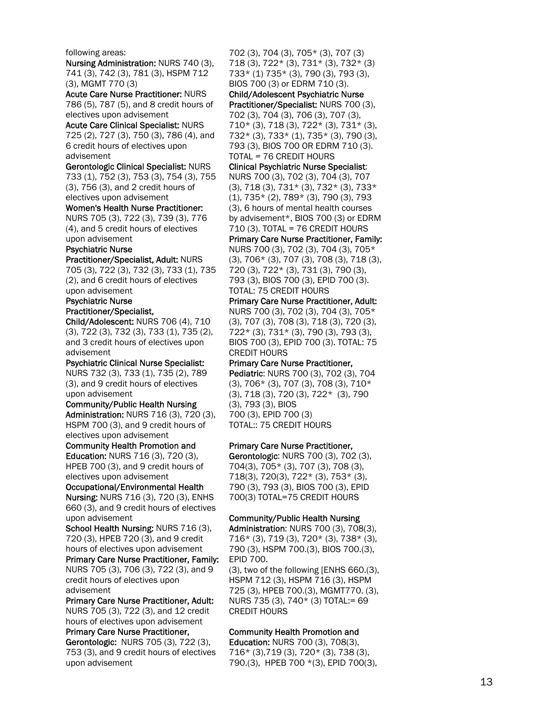#### following areas:

Nursing Administration: NURS 740 (3), 741 (3), 742 (3), 781 (3), HSPM 712 (3), MGMT 770 (3)

Acute Care Nurse Practitioner: NURS 786 (5), 787 (5), and 8 credit hours of electives upon advisement

Acute Care Clinical Specialist: NURS 725 (2), 727 (3), 750 (3), 786 (4), and 6 credit hours of electives upon advisement

Gerontologic Clinical Specialist: NURS 733 (1), 752 (3), 753 (3), 754 (3), 755 (3), 756 (3), and 2 credit hours of electives upon advisement

Women's Health Nurse Practitioner: NURS 705 (3), 722 (3), 739 (3), 776 (4), and 5 credit hours of electives upon advisement

Psychiatric Nurse

Practitioner/Specialist, Adult: NURS 705 (3), 722 (3), 732 (3), 733 (1), 735 (2), and 6 credit hours of electives upon advisement

Psychiatric Nurse

Practitioner/Specialist,

Child/Adolescent: NURS 706 (4), 710 (3), 722 (3), 732 (3), 733 (1), 735 (2), and 3 credit hours of electives upon advisement

Psychiatric Clinical Nurse Specialist: NURS 732 (3), 733 (1), 735 (2), 789 (3), and 9 credit hours of electives

upon advisement Community/Public Health Nursing Administration: NURS 716 (3), 720 (3),

HSPM 700 (3), and 9 credit hours of electives upon advisement

Community Health Promotion and Education: NURS 716 (3), 720 (3), HPEB 700 (3), and 9 credit hours of electives upon advisement

Occupational/Environmental Health

Nursing: NURS 716 (3), 720 (3), ENHS 660 (3), and 9 credit hours of electives upon advisement

School Health Nursing: NURS 716 (3), 720 (3), HPEB 720 (3), and 9 credit hours of electives upon advisement

Primary Care Nurse Practitioner, Family: NURS 705 (3), 706 (3), 722 (3), and 9 credit hours of electives upon advisement

Primary Care Nurse Practitioner, Adult: NURS 705 (3), 722 (3), and 12 credit hours of electives upon advisement

Primary Care Nurse Practitioner, Gerontologic: NURS 705 (3), 722 (3), 753 (3), and 9 credit hours of electives upon advisement

702 (3), 704 (3), 705\* (3), 707 (3) 718 (3), 722\* (3), 731\* (3), 732\* (3) 733\* (1) 735\* (3), 790 (3), 793 (3), BIOS 700 (3) or EDRM 710 (3). Child/Adolescent Psychiatric Nurse Practitioner/Specialist: NURS 700 (3), 702 (3), 704 (3), 706 (3), 707 (3), 710\* (3), 718 (3), 722\* (3), 731\* (3), 732\* (3), 733\* (1), 735\* (3), 790 (3), 793 (3), BIOS 700 OR EDRM 710 (3). TOTAL = 76 CREDIT HOURS Clinical Psychiatric Nurse Specialist: NURS 700 (3), 702 (3), 704 (3), 707 (3), 718 (3), 731\* (3), 732\* (3), 733\* (1), 735\* (2), 789\* (3), 790 (3), 793 (3), 6 hours of mental health courses by advisement\*, BIOS 700 (3) or EDRM 710 (3). TOTAL = 76 CREDIT HOURS Primary Care Nurse Practitioner, Family: NURS 700 (3), 702 (3), 704 (3), 705\* (3), 706\* (3), 707 (3), 708 (3), 718 (3), 720 (3), 722\* (3), 731 (3), 790 (3), 793 (3), BIOS 700 (3), EPID 700 (3). TOTAL: 75 CREDIT HOURS Primary Care Nurse Practitioner, Adult: NURS 700 (3), 702 (3), 704 (3), 705\*

(3), 707 (3), 708 (3), 718 (3), 720 (3), 722\* (3), 731\* (3), 790 (3), 793 (3), BIOS 700 (3), EPID 700 (3). TOTAL: 75 CREDIT HOURS

Primary Care Nurse Practitioner,

Pediatric: NURS 700 (3), 702 (3), 704 (3), 706\* (3), 707 (3), 708 (3), 710\* (3), 718 (3), 720 (3), 722\* (3), 790 (3), 793 (3), BIOS 700 (3), EPID 700 (3) TOTAL:: 75 CREDIT HOURS

### Primary Care Nurse Practitioner,

Gerontologic: NURS 700 (3), 702 (3), 704(3), 705\* (3), 707 (3), 708 (3), 718(3), 720(3), 722\* (3), 753\* (3), 790 (3), 793 (3), BIOS 700 (3), EPID 700(3) TOTAL=75 CREDIT HOURS

Community/Public Health Nursing

Administration: NURS 700 (3), 708(3), 716\* (3), 719 (3), 720\* (3), 738\* (3), 790 (3), HSPM 700.(3), BIOS 700.(3), EPID 700.

(3), two of the following [ENHS 660.(3), HSPM 712 (3), HSPM 716 (3), HSPM 725 (3), HPEB 700.(3), MGMT770. (3), NURS 735 (3), 740\* (3) TOTAL:= 69 CREDIT HOURS

### Community Health Promotion and

Education: NURS 700 (3), 708(3), 716\* (3),719 (3), 720\* (3), 738 (3), 790.(3), HPEB 700 \*(3), EPID 700(3),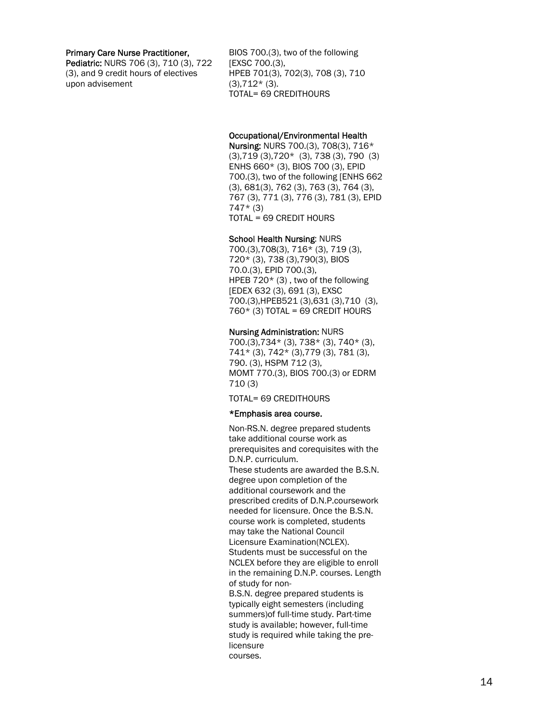#### Primary Care Nurse Practitioner,

Pediatric: NURS 706 (3), 710 (3), 722 (3), and 9 credit hours of electives upon advisement

BIOS 700.(3), two of the following [EXSC 700.(3), HPEB 701(3), 702(3), 708 (3), 710  $(3),712*(3).$ TOTAL= 69 CREDITHOURS

### Occupational/EnvironmentaI Health

Nursing: NURS 700.(3), 708(3), 716\* (3),719 (3),720\* (3), 738 (3), 790 (3) ENHS 660\* (3), BIOS 700 (3), EPID 700.(3), two of the following [ENHS 662 (3), 681(3), 762 (3), 763 (3), 764 (3), 767 (3), 771 (3), 776 (3), 781 (3), EPID 747\* (3) TOTAL = 69 CREDIT HOURS

#### School Health Nursing: NURS

700.(3),708(3), 716\* (3), 719 (3), 720\* (3), 738 (3),790(3), BIOS 70.0.(3), EPID 700.(3), HPEB 720\* (3) , two of the following [EDEX 632 (3), 691 (3), EXSC 700.(3),HPEB521 (3),631 (3),710 (3),  $760*$  (3) TOTAL = 69 CREDIT HOURS

#### Nursing Administration: NURS

700.(3),734\* (3), 738\* (3), 740\* (3), 741\* (3), 742\* (3),779 (3), 781 (3), 790. (3), HSPM 712 (3), MOMT 770.(3), BIOS 700.(3) or EDRM 710 (3)

TOTAL= 69 CREDITHOURS

#### \*Emphasis area course.

Non-RS.N. degree prepared students take additional course work as prerequisites and corequisites with the D.N.P. curriculum. These students are awarded the B.S.N. degree upon completion of the additional coursework and the prescribed credits of D.N.P.coursework needed for licensure. Once the B.S.N. course work is completed, students may take the National Council Licensure Examination(NCLEX). Students must be successful on the NCLEX before they are eligible to enroll in the remaining D.N.P. courses. Length of study for non-B.S.N. degree prepared students is

typically eight semesters (including summers)of full-time study. Part-time study is available; however, full-time study is required while taking the prelicensure courses.

14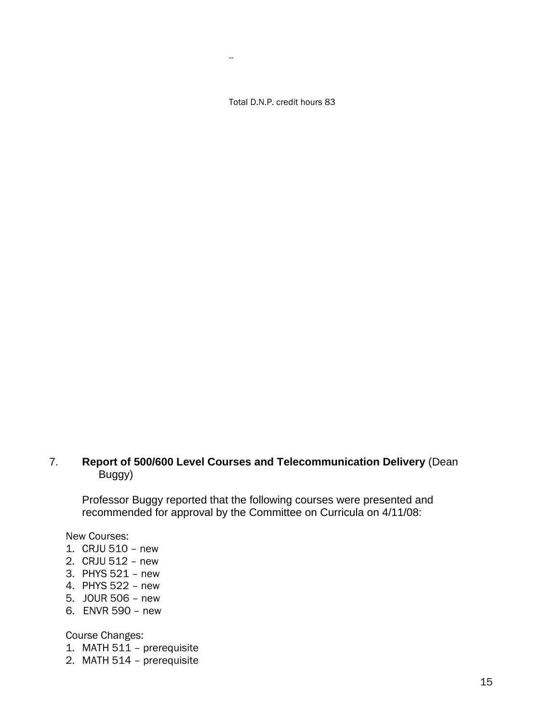Total D.N.P. credit hours 83

--

# 7. **Report of 500/600 Level Courses and Telecommunication Delivery** (Dean Buggy)

Professor Buggy reported that the following courses were presented and recommended for approval by the Committee on Curricula on 4/11/08:

New Courses:

- 1. CRJU 510 new
- 2. CRJU 512 new
- 3. PHYS 521 new
- 4. PHYS 522 new
- 5. JOUR 506 new
- 6. ENVR 590 new

Course Changes:

- 1. MATH 511 prerequisite
- 2. MATH 514 prerequisite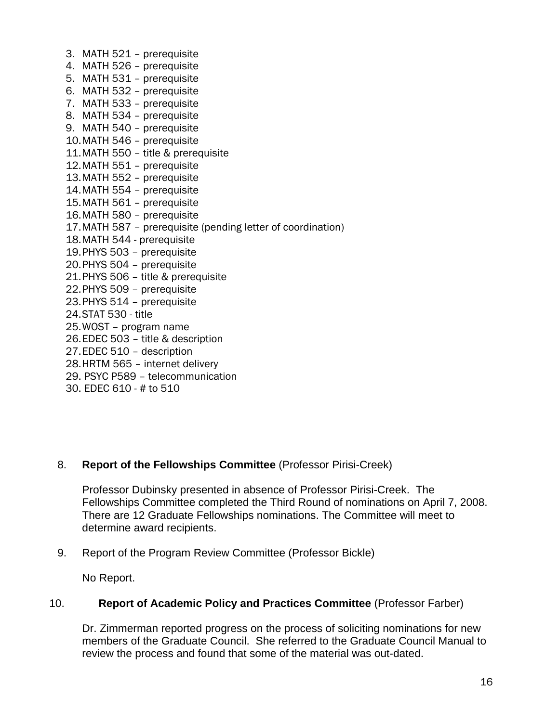3. MATH 521 – prerequisite 4. MATH 526 – prerequisite 5. MATH 531 – prerequisite 6. MATH 532 – prerequisite 7. MATH 533 – prerequisite 8. MATH 534 – prerequisite 9. MATH 540 – prerequisite 10. MATH 546 – prerequisite 11. MATH 550 – title & prerequisite 12. MATH 551 – prerequisite 13. MATH 552 – prerequisite 14. MATH 554 – prerequisite 15. MATH 561 – prerequisite 16. MATH 580 – prerequisite 17. MATH 587 – prerequisite (pending letter of coordination) 18. MATH 544 - prerequisite 19. PHYS 503 – prerequisite 20. PHYS 504 – prerequisite 21. PHYS 506 – title & prerequisite 22. PHYS 509 – prerequisite 23. PHYS 514 – prerequisite 24. STAT 530 - title 25. WOST – program name 26. EDEC 503 – title & description 27. EDEC 510 – description 28. HRTM 565 – internet delivery 29. PSYC P589 – telecommunication

30. EDEC 610 - # to 510

## 8. **Report of the Fellowships Committee** (Professor Pirisi-Creek)

Professor Dubinsky presented in absence of Professor Pirisi-Creek. The Fellowships Committee completed the Third Round of nominations on April 7, 2008. There are 12 Graduate Fellowships nominations. The Committee will meet to determine award recipients.

9. Report of the Program Review Committee (Professor Bickle)

No Report.

### 10. **Report of Academic Policy and Practices Committee** (Professor Farber)

Dr. Zimmerman reported progress on the process of soliciting nominations for new members of the Graduate Council. She referred to the Graduate Council Manual to review the process and found that some of the material was out-dated.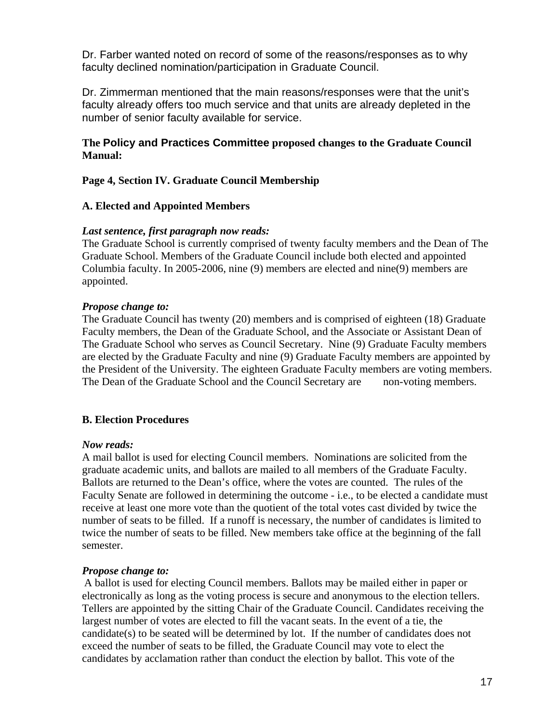Dr. Farber wanted noted on record of some of the reasons/responses as to why faculty declined nomination/participation in Graduate Council.

Dr. Zimmerman mentioned that the main reasons/responses were that the unit's faculty already offers too much service and that units are already depleted in the number of senior faculty available for service.

# **The Policy and Practices Committee proposed changes to the Graduate Council Manual:**

## **Page 4, Section IV. Graduate Council Membership**

## **A. Elected and Appointed Members**

## *Last sentence, first paragraph now reads:*

The Graduate School is currently comprised of twenty faculty members and the Dean of The Graduate School. Members of the Graduate Council include both elected and appointed Columbia faculty. In 2005-2006, nine (9) members are elected and nine(9) members are appointed.

## *Propose change to:*

The Graduate Council has twenty (20) members and is comprised of eighteen (18) Graduate Faculty members, the Dean of the Graduate School, and the Associate or Assistant Dean of The Graduate School who serves as Council Secretary. Nine (9) Graduate Faculty members are elected by the Graduate Faculty and nine (9) Graduate Faculty members are appointed by the President of the University. The eighteen Graduate Faculty members are voting members. The Dean of the Graduate School and the Council Secretary are non-voting members.

## **B. Election Procedures**

### *Now reads:*

A mail ballot is used for electing Council members. Nominations are solicited from the graduate academic units, and ballots are mailed to all members of the Graduate Faculty. Ballots are returned to the Dean's office, where the votes are counted. The rules of the Faculty Senate are followed in determining the outcome - i.e., to be elected a candidate must receive at least one more vote than the quotient of the total votes cast divided by twice the number of seats to be filled. If a runoff is necessary, the number of candidates is limited to twice the number of seats to be filled. New members take office at the beginning of the fall semester.

### *Propose change to:*

A ballot is used for electing Council members. Ballots may be mailed either in paper or electronically as long as the voting process is secure and anonymous to the election tellers. Tellers are appointed by the sitting Chair of the Graduate Council. Candidates receiving the largest number of votes are elected to fill the vacant seats. In the event of a tie, the candidate(s) to be seated will be determined by lot. If the number of candidates does not exceed the number of seats to be filled, the Graduate Council may vote to elect the candidates by acclamation rather than conduct the election by ballot. This vote of the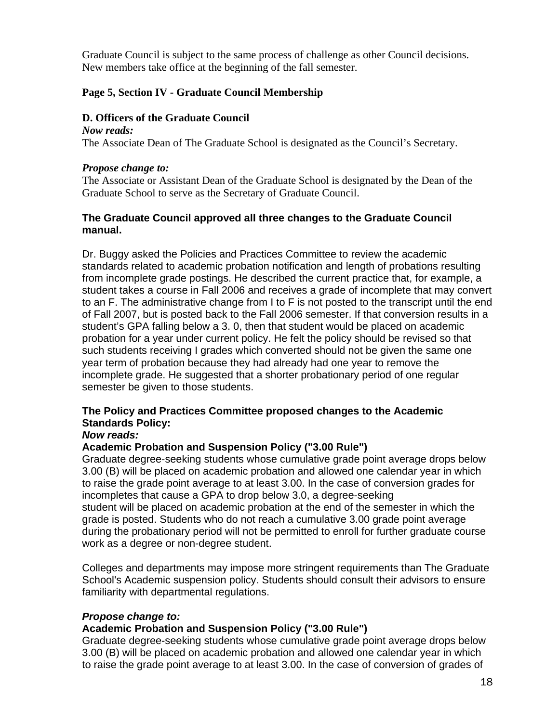Graduate Council is subject to the same process of challenge as other Council decisions. New members take office at the beginning of the fall semester.

# **Page 5, Section IV - Graduate Council Membership**

# **D. Officers of the Graduate Council**

*Now reads:*  The Associate Dean of The Graduate School is designated as the Council's Secretary.

# *Propose change to:*

The Associate or Assistant Dean of the Graduate School is designated by the Dean of the Graduate School to serve as the Secretary of Graduate Council.

# **The Graduate Council approved all three changes to the Graduate Council manual.**

Dr. Buggy asked the Policies and Practices Committee to review the academic standards related to academic probation notification and length of probations resulting from incomplete grade postings. He described the current practice that, for example, a student takes a course in Fall 2006 and receives a grade of incomplete that may convert to an F. The administrative change from I to F is not posted to the transcript until the end of Fall 2007, but is posted back to the Fall 2006 semester. If that conversion results in a student's GPA falling below a 3. 0, then that student would be placed on academic probation for a year under current policy. He felt the policy should be revised so that such students receiving I grades which converted should not be given the same one year term of probation because they had already had one year to remove the incomplete grade. He suggested that a shorter probationary period of one regular semester be given to those students.

# **The Policy and Practices Committee proposed changes to the Academic Standards Policy:**

# *Now reads:*

# **Academic Probation and Suspension Policy ("3.00 Rule")**

Graduate degree-seeking students whose cumulative grade point average drops below 3.00 (B) will be placed on academic probation and allowed one calendar year in which to raise the grade point average to at least 3.00. In the case of conversion grades for incompletes that cause a GPA to drop below 3.0, a degree-seeking student will be placed on academic probation at the end of the semester in which the grade is posted. Students who do not reach a cumulative 3.00 grade point average during the probationary period will not be permitted to enroll for further graduate course work as a degree or non-degree student.

Colleges and departments may impose more stringent requirements than The Graduate School's Academic suspension policy. Students should consult their advisors to ensure familiarity with departmental regulations.

# *Propose change to:*

# **Academic Probation and Suspension Policy ("3.00 Rule")**

Graduate degree-seeking students whose cumulative grade point average drops below 3.00 (B) will be placed on academic probation and allowed one calendar year in which to raise the grade point average to at least 3.00. In the case of conversion of grades of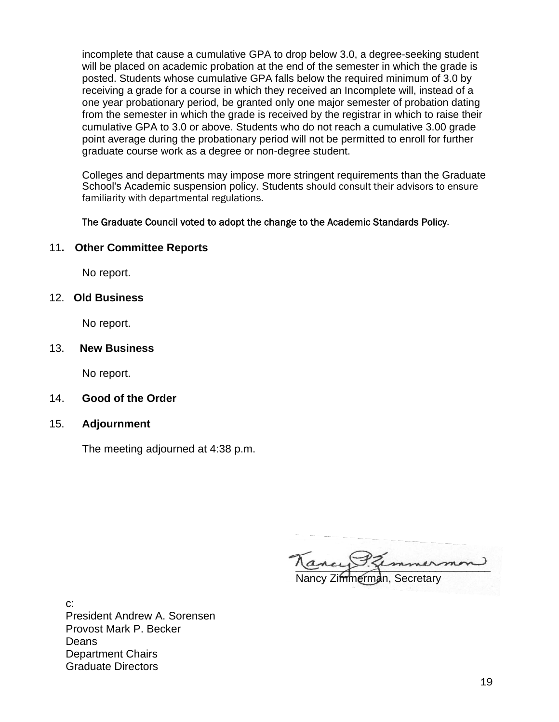incomplete that cause a cumulative GPA to drop below 3.0, a degree-seeking student will be placed on academic probation at the end of the semester in which the grade is posted. Students whose cumulative GPA falls below the required minimum of 3.0 by receiving a grade for a course in which they received an Incomplete will, instead of a one year probationary period, be granted only one major semester of probation dating from the semester in which the grade is received by the registrar in which to raise their cumulative GPA to 3.0 or above. Students who do not reach a cumulative 3.00 grade point average during the probationary period will not be permitted to enroll for further graduate course work as a degree or non-degree student.

Colleges and departments may impose more stringent requirements than the Graduate School's Academic suspension policy. Students should consult their advisors to ensure familiarity with departmental regulations.

## The Graduate Council voted to adopt the change to the Academic Standards Policy.

## 11**. Other Committee Reports**

No report.

## 12. **Old Business**

No report.

### 13. **New Business**

No report.

- 14. **Good of the Order**
- 15. **Adjournment**

The meeting adjourned at 4:38 p.m.

ancy semmermon Nancy Zimmerman, Secretary

c: President Andrew A. Sorensen Provost Mark P. Becker Deans Department Chairs Graduate Directors